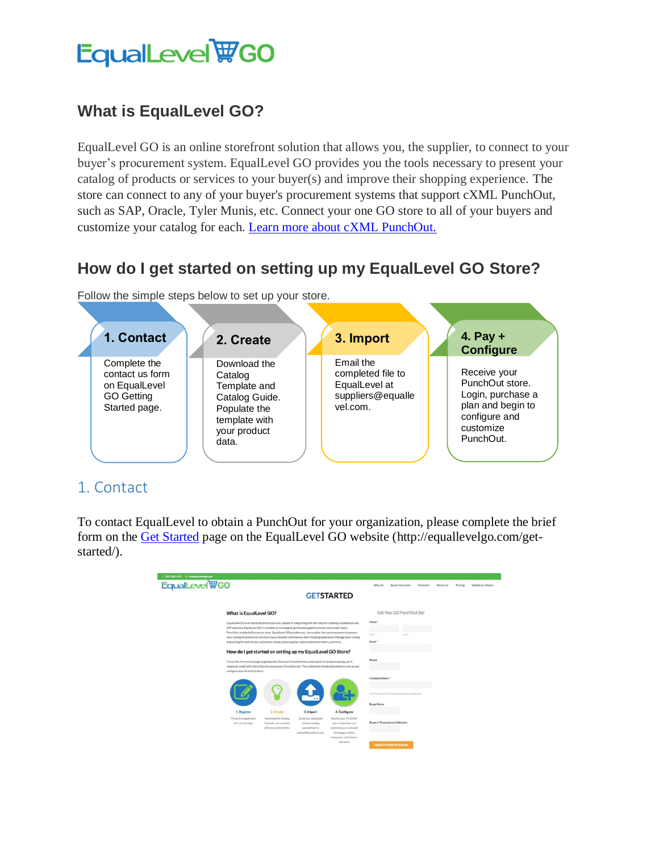# EqualLevel WGO

# **What is EqualLevel GO?**

EqualLevel GO is an online storefront solution that allows you, the supplier, to connect to your buyer's procurement system. EqualLevel GO provides you the tools necessary to present your catalog of products or services to your buyer(s) and improve their shopping experience. The store can connect to any of your buyer's procurement systems that support cXML PunchOut, such as SAP, Oracle, Tyler Munis, etc. Connect your one GO store to all of your buyers and customize your catalog for each. [Learn more about cXML PunchOut.](http://xml.cxml.org/current/cXMLUsersGuide.pdf)

## **How do I get started on setting up my EqualLevel GO Store?**

Follow the simple steps below to set up your store.



#### 1. Contact

To contact EqualLevel to obtain a PunchOut for your organization, please complete the brief form on the [Get Started](http://equallevelgo.com/get-started/) page on the EqualLevel GO website (http://equallevelgo.com/getstarted/).

| EqualLevel <sup>W</sup> GO                                                                                                                                                                                                                                                | Why Us.                                                                                                                                                                                                                                                                                                                                                                                                                                                                                                                                                                                                                            | Buyer Solutions                                                                      | Diversity                                                                                       | About Us          | Pricing                                               | Schedule a Demo |  |  |  |
|---------------------------------------------------------------------------------------------------------------------------------------------------------------------------------------------------------------------------------------------------------------------------|------------------------------------------------------------------------------------------------------------------------------------------------------------------------------------------------------------------------------------------------------------------------------------------------------------------------------------------------------------------------------------------------------------------------------------------------------------------------------------------------------------------------------------------------------------------------------------------------------------------------------------|--------------------------------------------------------------------------------------|-------------------------------------------------------------------------------------------------|-------------------|-------------------------------------------------------|-----------------|--|--|--|
|                                                                                                                                                                                                                                                                           |                                                                                                                                                                                                                                                                                                                                                                                                                                                                                                                                                                                                                                    |                                                                                      | <b>GETSTARTED</b>                                                                               |                   |                                                       |                 |  |  |  |
|                                                                                                                                                                                                                                                                           | What is EqualLevel GO?                                                                                                                                                                                                                                                                                                                                                                                                                                                                                                                                                                                                             |                                                                                      |                                                                                                 |                   |                                                       |                 |  |  |  |
|                                                                                                                                                                                                                                                                           | EqualLevel GO is an online storefront solution capable of integrating with the industry's leading marketplace and<br>ERP solutions. EqualLevel GO is available at no charge to partnered suppliers who do not already have a<br>PunchOut-enabled eCommerce store. EqualLevel GO provides you, the supplier, the tools necessary to present<br>your catalog of products or services to your buyer(s) and improve their shopping experience. Manage your catalog<br>and pricing for each of your customers, create custom guotes, receive electronic orders, and more.<br>How do I get started on setting up my EqualLevel GO Store? |                                                                                      |                                                                                                 |                   |                                                       |                 |  |  |  |
|                                                                                                                                                                                                                                                                           |                                                                                                                                                                                                                                                                                                                                                                                                                                                                                                                                                                                                                                    |                                                                                      |                                                                                                 |                   |                                                       |                 |  |  |  |
|                                                                                                                                                                                                                                                                           |                                                                                                                                                                                                                                                                                                                                                                                                                                                                                                                                                                                                                                    |                                                                                      |                                                                                                 |                   |                                                       |                 |  |  |  |
| Fill out the form on this page to get started. Once you fill out the form, and submit for product catalog, you'll<br>receive an email with instructions to access your PunchOut site. Then, follow the simple steps below to set up and<br>configure your PunchOut store. |                                                                                                                                                                                                                                                                                                                                                                                                                                                                                                                                                                                                                                    |                                                                                      |                                                                                                 |                   |                                                       |                 |  |  |  |
|                                                                                                                                                                                                                                                                           |                                                                                                                                                                                                                                                                                                                                                                                                                                                                                                                                                                                                                                    |                                                                                      |                                                                                                 | Company Name *    |                                                       |                 |  |  |  |
|                                                                                                                                                                                                                                                                           |                                                                                                                                                                                                                                                                                                                                                                                                                                                                                                                                                                                                                                    |                                                                                      |                                                                                                 |                   | Your alta name will be company name equalized go com- |                 |  |  |  |
|                                                                                                                                                                                                                                                                           | 2. Create                                                                                                                                                                                                                                                                                                                                                                                                                                                                                                                                                                                                                          | 3. Import                                                                            | 4. Configure                                                                                    | <b>Buyer Name</b> |                                                       |                 |  |  |  |
| 1. Register<br>Fill out the registration<br>form on this page.                                                                                                                                                                                                            | Download the Catalog<br>Template, and populate<br>with your product data.                                                                                                                                                                                                                                                                                                                                                                                                                                                                                                                                                          | Email your populated<br>product catalog<br>apreschiheet to<br>support@equallevel.com | Receive your PurehOut<br>store credentials, and<br>customize your customer<br>homepage, product |                   | Buyer e-Procurement Software                          |                 |  |  |  |
|                                                                                                                                                                                                                                                                           |                                                                                                                                                                                                                                                                                                                                                                                                                                                                                                                                                                                                                                    |                                                                                      | categories, notifications,<br>and more.                                                         |                   | <b>CREATE YOUR SITE NOW</b>                           |                 |  |  |  |